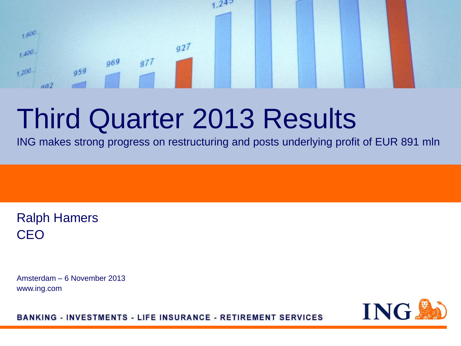#### $242$  $1,600$  $q27$  $1.400 969$  $877$ 959  $+200$  $002$

# Third Quarter 2013 Results

ING makes strong progress on restructuring and posts underlying profit of EUR 891 mln

Ralph Hamers CEO

Amsterdam – 6 November 2013 www.ing.com

ING.

**BANKING - INVESTMENTS - LIFE INSURANCE - RETIREMENT SERVICES**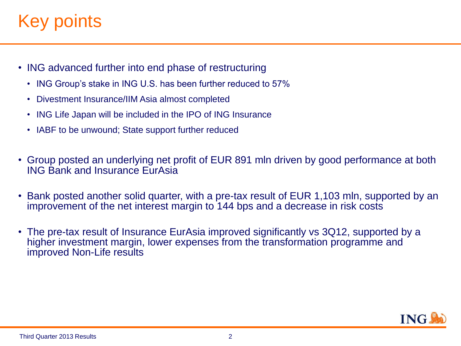## Key points.

- ING advanced further into end phase of restructuring
	- ING Group's stake in ING U.S. has been further reduced to 57%
	- Divestment Insurance/IIM Asia almost completed
	- ING Life Japan will be included in the IPO of ING Insurance
	- IABF to be unwound; State support further reduced
- Group posted an underlying net profit of EUR 891 mln driven by good performance at both ING Bank and Insurance EurAsia
- Bank posted another solid quarter, with a pre-tax result of EUR 1,103 mln, supported by an improvement of the net interest margin to 144 bps and a decrease in risk costs
- The pre-tax result of Insurance EurAsia improved significantly vs 3Q12, supported by a higher investment margin, lower expenses from the transformation programme and improved Non-Life results

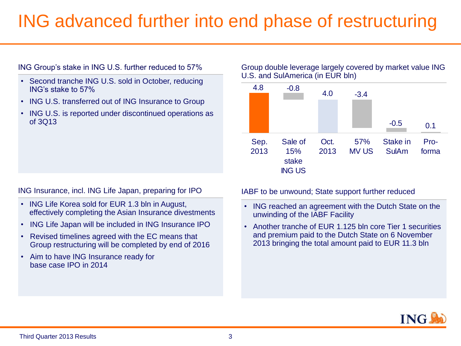### ING advanced further into end phase of restructuring

#### ING Group's stake in ING U.S. further reduced to 57%

- Second tranche ING U.S. sold in October, reducing ING's stake to 57%
- ING U.S. transferred out of ING Insurance to Group
- ING U.S. is reported under discontinued operations as of 3Q13

#### ING Insurance, incl. ING Life Japan, preparing for IPO

- ING Life Korea sold for EUR 1.3 bln in August, effectively completing the Asian Insurance divestments
- ING Life Japan will be included in ING Insurance IPO
- Revised timelines agreed with the EC means that Group restructuring will be completed by end of 2016
- Aim to have ING Insurance ready for base case IPO in 2014

#### Group double leverage largely covered by market value ING U.S. and SulAmerica (in EUR bln)



#### IABF to be unwound; State support further reduced

- ING reached an agreement with the Dutch State on the unwinding of the IABF Facility
- Another tranche of EUR 1.125 bln core Tier 1 securities and premium paid to the Dutch State on 6 November 2013 bringing the total amount paid to EUR 11.3 bln

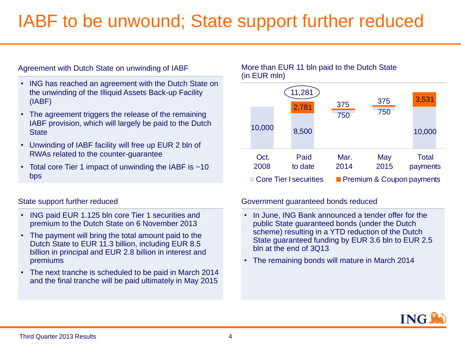### IABF to be unwound; State support further reduced

#### Agreement with Dutch State on unwinding of IABF

- ING has reached an agreement with the Dutch State on the unwinding of the Illiquid Assets Back-up Facility (IABF)
- The agreement triggers the release of the remaining IABF provision, which will largely be paid to the Dutch **State**
- Unwinding of IABF facility will free up EUR 2 bln of RWAs related to the counter-guarantee
- Total core Tier 1 impact of unwinding the IABF is ~10 bps

#### State support further reduced

- ING paid EUR 1.125 bln core Tier 1 securities and premium to the Dutch State on 6 November 2013
- The payment will bring the total amount paid to the Dutch State to EUR 11.3 billion, including EUR 8.5 billion in principal and EUR 2.8 billion in interest and premiums
- The next tranche is scheduled to be paid in March 2014 and the final tranche will be paid ultimately in May 2015

#### More than EUR 11 bln paid to the Dutch State (in EUR mln)



#### Government guaranteed bonds reduced

- In June, ING Bank announced a tender offer for the public State guaranteed bonds (under the Dutch scheme) resulting in a YTD reduction of the Dutch State guaranteed funding by EUR 3.6 bln to EUR 2.5 bln at the end of 3Q13
- The remaining bonds will mature in March 2014

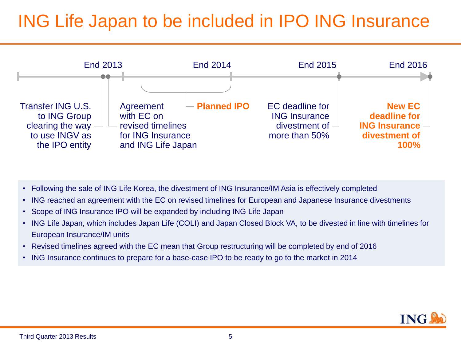### ING Life Japan to be included in IPO ING Insurance



- Following the sale of ING Life Korea, the divestment of ING Insurance/IM Asia is effectively completed
- ING reached an agreement with the EC on revised timelines for European and Japanese Insurance divestments
- Scope of ING Insurance IPO will be expanded by including ING Life Japan
- ING Life Japan, which includes Japan Life (COLI) and Japan Closed Block VA, to be divested in line with timelines for European Insurance/IM units
- Revised timelines agreed with the EC mean that Group restructuring will be completed by end of 2016
- ING Insurance continues to prepare for a base-case IPO to be ready to go to the market in 2014

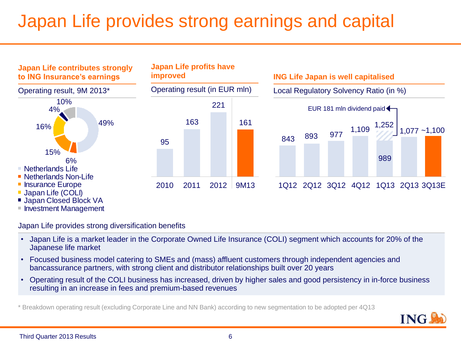## Japan Life provides strong earnings and capital



Japan Life provides strong diversification benefits

- Japan Life is a market leader in the Corporate Owned Life Insurance (COLI) segment which accounts for 20% of the Japanese life market
- Focused business model catering to SMEs and (mass) affluent customers through independent agencies and bancassurance partners, with strong client and distributor relationships built over 20 years
- Operating result of the COLI business has increased, driven by higher sales and good persistency in in-force business resulting in an increase in fees and premium-based revenues

\* Breakdown operating result (excluding Corporate Line and NN Bank) according to new segmentation to be adopted per 4Q13

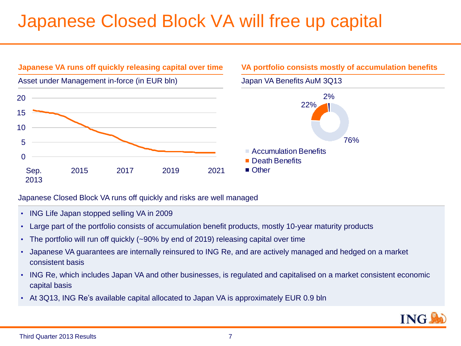### Japanese Closed Block VA will free up capital



#### Japanese Closed Block VA runs off quickly and risks are well managed

- ING Life Japan stopped selling VA in 2009
- Large part of the portfolio consists of accumulation benefit products, mostly 10-year maturity products
- The portfolio will run off quickly (~90% by end of 2019) releasing capital over time
- Japanese VA guarantees are internally reinsured to ING Re, and are actively managed and hedged on a market consistent basis
- ING Re, which includes Japan VA and other businesses, is regulated and capitalised on a market consistent economic capital basis
- At 3Q13, ING Re's available capital allocated to Japan VA is approximately EUR 0.9 bln

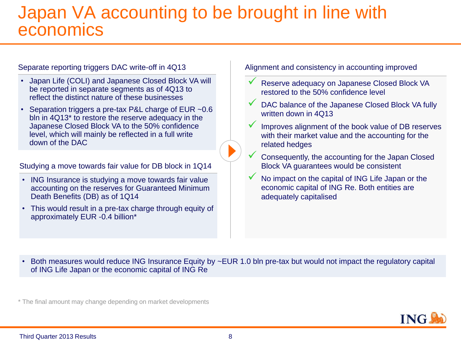#### Japan VA accounting to be brought in line with economics

#### Separate reporting triggers DAC write-off in 4Q13

- Japan Life (COLI) and Japanese Closed Block VA will be reported in separate segments as of 4Q13 to reflect the distinct nature of these businesses
- Separation triggers a pre-tax P&L charge of EUR ~0.6 bln in 4Q13\* to restore the reserve adequacy in the Japanese Closed Block VA to the 50% confidence level, which will mainly be reflected in a full write down of the DAC

Studying a move towards fair value for DB block in 1Q14

- ING Insurance is studying a move towards fair value accounting on the reserves for Guaranteed Minimum Death Benefits (DB) as of 1Q14
- This would result in a pre-tax charge through equity of approximately EUR -0.4 billion\*

Alignment and consistency in accounting improved

- Reserve adequacy on Japanese Closed Block VA restored to the 50% confidence level
- DAC balance of the Japanese Closed Block VA fully written down in 4Q13
- Improves alignment of the book value of DB reserves with their market value and the accounting for the related hedges

 Consequently, the accounting for the Japan Closed Block VA guarantees would be consistent

 No impact on the capital of ING Life Japan or the economic capital of ING Re. Both entities are adequately capitalised

• Both measures would reduce ING Insurance Equity by ~EUR 1.0 bln pre-tax but would not impact the regulatory capital of ING Life Japan or the economic capital of ING Re

\* The final amount may change depending on market developments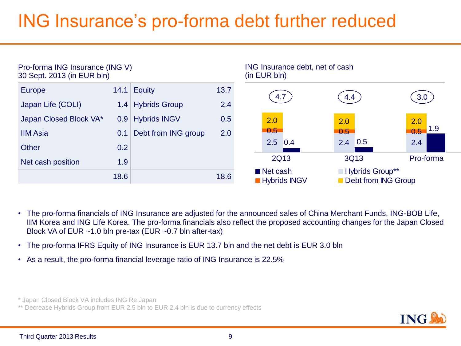## ING Insurance's pro-forma debt further reduced



- The pro-forma financials of ING Insurance are adjusted for the announced sales of China Merchant Funds, ING-BOB Life, IIM Korea and ING Life Korea. The pro-forma financials also reflect the proposed accounting changes for the Japan Closed Block VA of EUR ~1.0 bln pre-tax (EUR ~0.7 bln after-tax)
- The pro-forma IFRS Equity of ING Insurance is EUR 13.7 bln and the net debt is EUR 3.0 bln
- As a result, the pro-forma financial leverage ratio of ING Insurance is 22.5%

\* Japan Closed Block VA includes ING Re Japan

\*\* Decrease Hybrids Group from EUR 2.5 bln to EUR 2.4 bln is due to currency effects

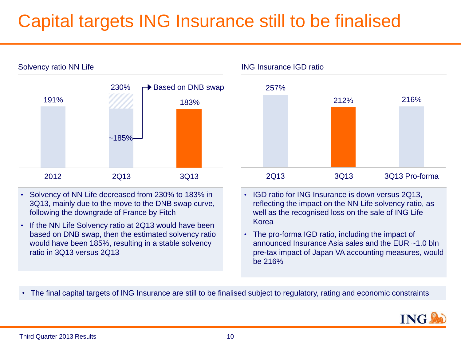## Capital targets ING Insurance still to be finalised



- Solvency of NN Life decreased from 230% to 183% in 3Q13, mainly due to the move to the DNB swap curve, following the downgrade of France by Fitch
- If the NN Life Solvency ratio at 2Q13 would have been based on DNB swap, then the estimated solvency ratio would have been 185%, resulting in a stable solvency ratio in 3Q13 versus 2Q13



- IGD ratio for ING Insurance is down versus 2Q13, reflecting the impact on the NN Life solvency ratio, as well as the recognised loss on the sale of ING Life Korea
- The pro-forma IGD ratio, including the impact of announced Insurance Asia sales and the EUR ~1.0 bln pre-tax impact of Japan VA accounting measures, would be 216%
- The final capital targets of ING Insurance are still to be finalised subject to regulatory, rating and economic constraints

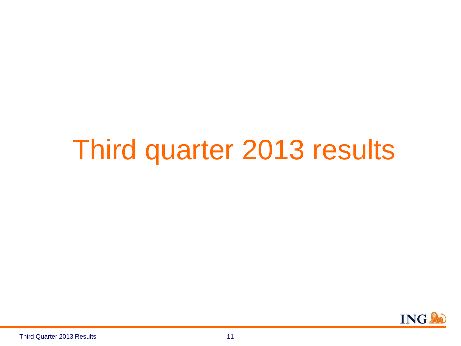# Third quarter 2013 results

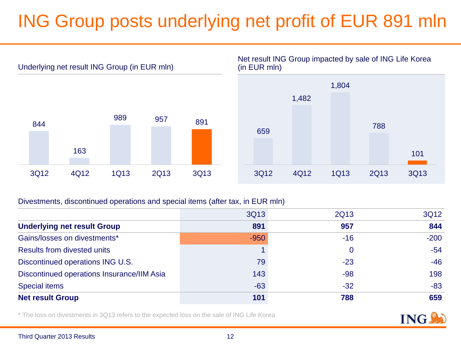## ING Group posts underlying net profit of EUR 891 mln



Net result ING Group impacted by sale of ING Life Korea (in EUR mln)



#### Divestments, discontinued operations and special items (after tax, in EUR mln)

|                                            | 3Q13   | 2Q13  | 3Q12   |
|--------------------------------------------|--------|-------|--------|
| <b>Underlying net result Group</b>         | 891    | 957   | 844    |
| Gains/losses on divestments*               | $-950$ | $-16$ | $-200$ |
| <b>Results from divested units</b>         |        | 0     | $-54$  |
| Discontinued operations ING U.S.           | 79     | $-23$ | $-46$  |
| Discontinued operations Insurance/IIM Asia | 143    | $-98$ | 198    |
| <b>Special items</b>                       | $-63$  | $-32$ | $-83$  |
| <b>Net result Group</b>                    | 101    | 788   | 659    |

\* The loss on divestments in 3Q13 refers to the expected loss on the sale of ING Life Korea

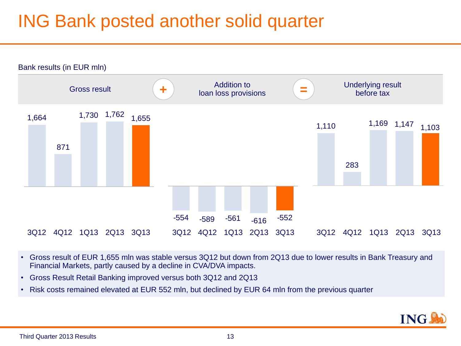### ING Bank posted another solid quarter



- Gross result of EUR 1,655 mln was stable versus 3Q12 but down from 2Q13 due to lower results in Bank Treasury and Financial Markets, partly caused by a decline in CVA/DVA impacts.
- Gross Result Retail Banking improved versus both 3Q12 and 2Q13
- Risk costs remained elevated at EUR 552 mln, but declined by EUR 64 mln from the previous quarter

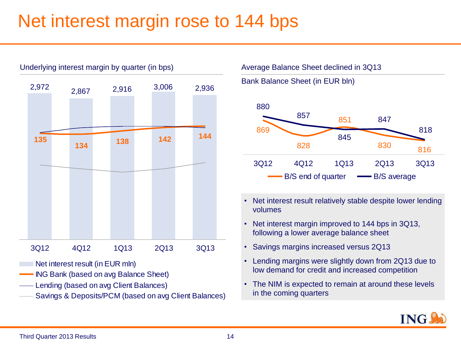#### Net interest margin rose to 144 bps



Underlying interest margin by quarter (in bps)

Average Balance Sheet declined in 3Q13

Bank Balance Sheet (in EUR bln)



- Net interest result relatively stable despite lower lending volumes
- Net interest margin improved to 144 bps in 3Q13, following a lower average balance sheet
- Savings margins increased versus 2Q13
- Lending margins were slightly down from 2Q13 due to low demand for credit and increased competition
- The NIM is expected to remain at around these levels in the coming quarters





- Lending (based on avg Client Balances)
- Savings & Deposits/PCM (based on avg Client Balances)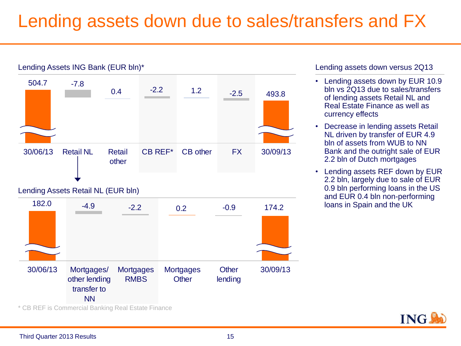#### Lending assets down due to sales/transfers and FX



Lending assets down versus 2Q13

- Lending assets down by EUR 10.9 bln vs 2Q13 due to sales/transfers of lending assets Retail NL and Real Estate Finance as well as currency effects
- Decrease in lending assets Retail NL driven by transfer of EUR 4.9 bln of assets from WUB to NN Bank and the outright sale of EUR 2.2 bln of Dutch mortgages
- Lending assets REF down by EUR 2.2 bln, largely due to sale of EUR 0.9 bln performing loans in the US and EUR 0.4 bln non-performing loans in Spain and the UK



\* CB REF is Commercial Banking Real Estate Finance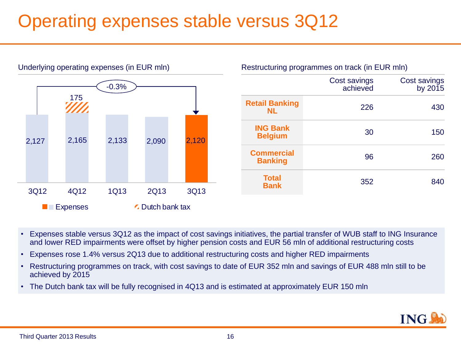### Operating expenses stable versus 3Q12



- Expenses stable versus 3Q12 as the impact of cost savings initiatives, the partial transfer of WUB staff to ING Insurance and lower RED impairments were offset by higher pension costs and EUR 56 mln of additional restructuring costs
- Expenses rose 1.4% versus 2Q13 due to additional restructuring costs and higher RED impairments
- Restructuring programmes on track, with cost savings to date of EUR 352 mln and savings of EUR 488 mln still to be achieved by 2015
- The Dutch bank tax will be fully recognised in 4Q13 and is estimated at approximately EUR 150 mln

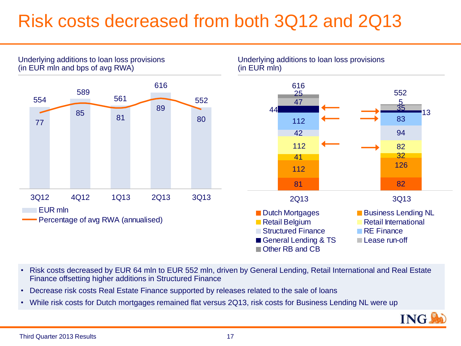### Risk costs decreased from both 3Q12 and 2Q13



Third Quarter 2013 Results

Finance offsetting higher additions in Structured Finance

17

ING.

• Risk costs decreased by EUR 64 mln to EUR 552 mln, driven by General Lending, Retail International and Real Estate

• While risk costs for Dutch mortgages remained flat versus 2Q13, risk costs for Business Lending NL were up

• Decrease risk costs Real Estate Finance supported by releases related to the sale of loans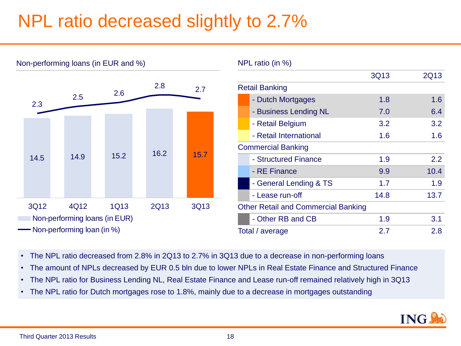### NPL ratio decreased slightly to 2.7%



Non-performing loans (in EUR and %)

- The NPL ratio decreased from 2.8% in 2Q13 to 2.7% in 3Q13 due to a decrease in non-performing loans
- The amount of NPLs decreased by EUR 0.5 bln due to lower NPLs in Real Estate Finance and Structured Finance
- The NPL ratio for Business Lending NL, Real Estate Finance and Lease run-off remained relatively high in 3Q13
- The NPL ratio for Dutch mortgages rose to 1.8%, mainly due to a decrease in mortgages outstanding

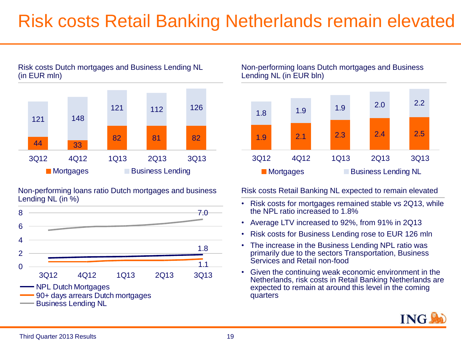### Risk costs Retail Banking Netherlands remain elevated



Risk costs Dutch mortgages and Business Lending NL

Non-performing loans ratio Dutch mortgages and business Lending NL (in %)



Non-performing loans Dutch mortgages and Business Lending NL (in EUR bln)



Risk costs Retail Banking NL expected to remain elevated

- Risk costs for mortgages remained stable vs 2Q13, while the NPL ratio increased to 1.8%
- Average LTV increased to 92%, from 91% in 2Q13
- Risk costs for Business Lending rose to EUR 126 mln
- The increase in the Business Lending NPL ratio was primarily due to the sectors Transportation, Business Services and Retail non-food
- Given the continuing weak economic environment in the Netherlands, risk costs in Retail Banking Netherlands are expected to remain at around this level in the coming quarters

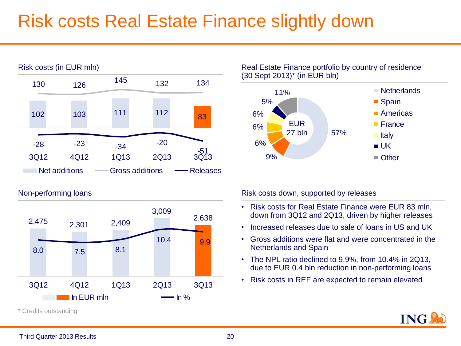### Risk costs Real Estate Finance slightly down



Non-performing loans



(30 Sept 2013)\* (in EUR bln)



Risk costs down, supported by releases

- Risk costs for Real Estate Finance were EUR 83 mln, down from 3Q12 and 2Q13, driven by higher releases
- Increased releases due to sale of loans in US and UK
- Gross additions were flat and were concentrated in the Netherlands and Spain
- The NPL ratio declined to 9.9%, from 10.4% in 2Q13, due to EUR 0.4 bln reduction in non-performing loans
- Risk costs in REF are expected to remain elevated

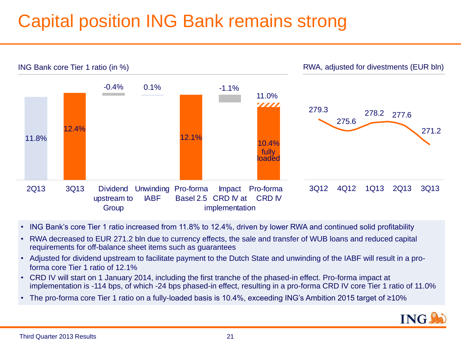## Capital position ING Bank remains strong



- ING Bank's core Tier 1 ratio increased from 11.8% to 12.4%, driven by lower RWA and continued solid profitability
- RWA decreased to EUR 271.2 bln due to currency effects, the sale and transfer of WUB loans and reduced capital requirements for off-balance sheet items such as guarantees
- Adjusted for dividend upstream to facilitate payment to the Dutch State and unwinding of the IABF will result in a proforma core Tier 1 ratio of 12.1%
- CRD IV will start on 1 January 2014, including the first tranche of the phased-in effect. Pro-forma impact at implementation is -114 bps, of which -24 bps phased-in effect, resulting in a pro-forma CRD IV core Tier 1 ratio of 11.0%
- The pro-forma core Tier 1 ratio on a fully-loaded basis is 10.4%, exceeding ING's Ambition 2015 target of ≥10%

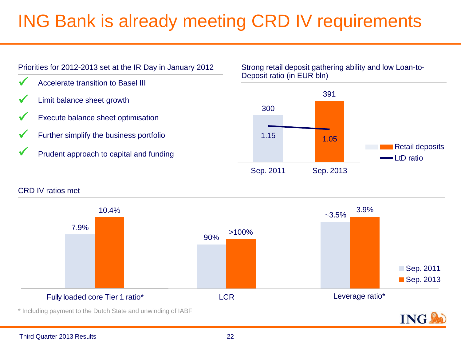## ING Bank is already meeting CRD IV requirements



Strong retail deposit gathering ability and low Loan-to-Deposit ratio (in EUR bln)



#### CRD IV ratios met

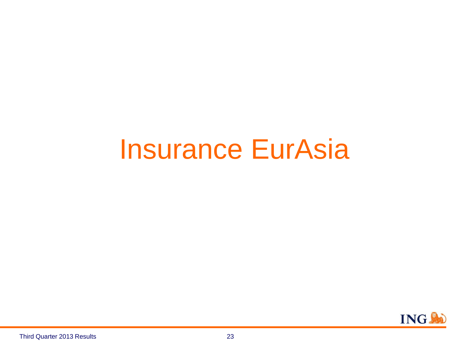# Insurance EurAsia

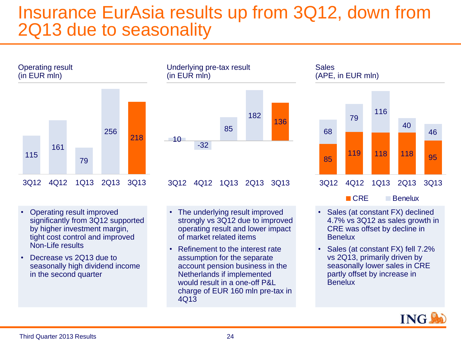#### Insurance EurAsia results up from 3Q12, down from 2Q13 due to seasonality



- Operating result improved significantly from 3Q12 supported by higher investment margin, tight cost control and improved Non-Life results
- Decrease vs 2013 due to seasonally high dividend income in the second quarter



- The underlying result improved strongly vs 3Q12 due to improved operating result and lower impact of market related items
- Refinement to the interest rate assumption for the separate account pension business in the Netherlands if implemented would result in a one-off P&L charge of EUR 160 mln pre-tax in 4Q13



- Sales (at constant FX) declined 4.7% vs 3Q12 as sales growth in CRE was offset by decline in **Benelux**
- Sales (at constant FX) fell 7.2% vs 2Q13, primarily driven by seasonally lower sales in CRE partly offset by increase in **Benelux**

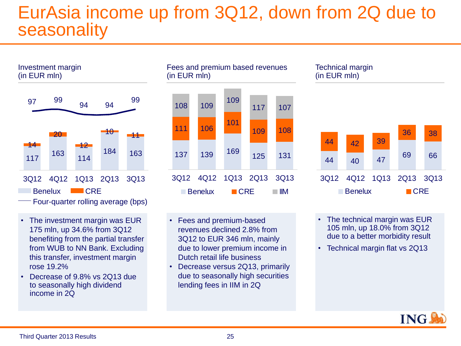#### EurAsia income up from 3Q12, down from 2Q due to seasonality



- The investment margin was EUR 175 mln, up 34.6% from 3Q12 benefiting from the partial transfer from WUB to NN Bank. Excluding this transfer, investment margin rose 19.2%
- Decrease of 9.8% vs 2Q13 due to seasonally high dividend income in 2Q



- Fees and premium-based revenues declined 2.8% from 3Q12 to EUR 346 mln, mainly due to lower premium income in Dutch retail life business
- Decrease versus 2Q13, primarily due to seasonally high securities lending fees in IIM in 2Q



- The technical margin was EUR 105 mln, up 18.0% from 3Q12 due to a better morbidity result
- Technical margin flat vs 2Q13

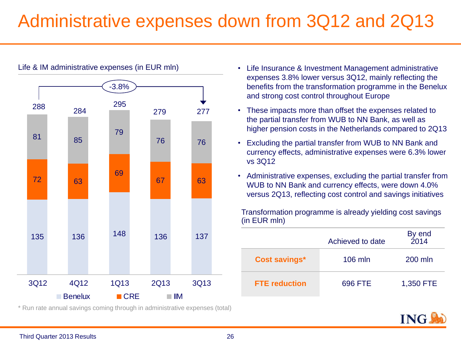### Administrative expenses down from 3Q12 and 2Q13



Life & IM administrative expenses (in EUR mln)

\* Run rate annual savings coming through in administrative expenses (total)

- Life Insurance & Investment Management administrative expenses 3.8% lower versus 3Q12, mainly reflecting the benefits from the transformation programme in the Benelux and strong cost control throughout Europe
- These impacts more than offset the expenses related to the partial transfer from WUB to NN Bank, as well as higher pension costs in the Netherlands compared to 2Q13
- Excluding the partial transfer from WUB to NN Bank and currency effects, administrative expenses were 6.3% lower vs 3Q12
- Administrative expenses, excluding the partial transfer from WUB to NN Bank and currency effects, were down 4.0% versus 2Q13, reflecting cost control and savings initiatives

Transformation programme is already yielding cost savings (in EUR mln)

|                      | Achieved to date | By end<br>2014 |
|----------------------|------------------|----------------|
| <b>Cost savings*</b> | $106$ mln        | 200 mln        |
| <b>FTE</b> reduction | 696 FTE          | 1,350 FTE      |

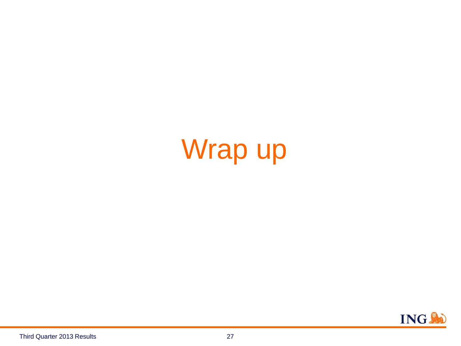# Wrap up

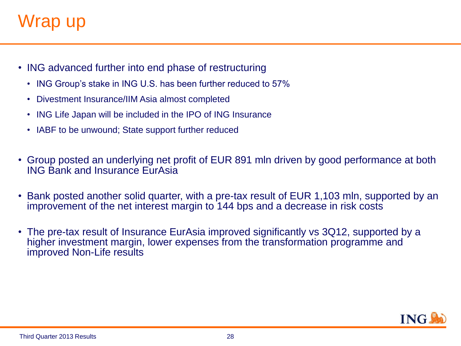### Wrap up

- ING advanced further into end phase of restructuring
	- ING Group's stake in ING U.S. has been further reduced to 57%
	- Divestment Insurance/IIM Asia almost completed
	- ING Life Japan will be included in the IPO of ING Insurance
	- IABF to be unwound; State support further reduced
- Group posted an underlying net profit of EUR 891 mln driven by good performance at both ING Bank and Insurance EurAsia
- Bank posted another solid quarter, with a pre-tax result of EUR 1,103 mln, supported by an improvement of the net interest margin to 144 bps and a decrease in risk costs
- The pre-tax result of Insurance EurAsia improved significantly vs 3Q12, supported by a higher investment margin, lower expenses from the transformation programme and improved Non-Life results

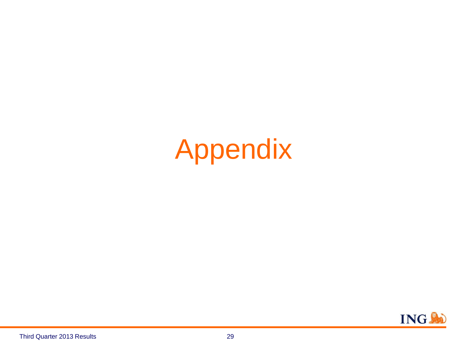# Appendix

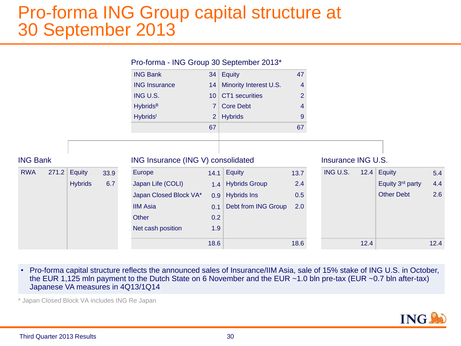#### Pro-forma ING Group capital structure at 30 September 2013

|                     |                |      | Pro-forma - ING Group 30 September 2013* |                 |                        |                |                    |                   |     |
|---------------------|----------------|------|------------------------------------------|-----------------|------------------------|----------------|--------------------|-------------------|-----|
|                     |                |      | <b>ING Bank</b>                          |                 | 34 Equity              | 47             |                    |                   |     |
|                     |                |      | <b>ING Insurance</b>                     | 14              | Minority Interest U.S. | $\overline{4}$ |                    |                   |     |
|                     |                |      | ING U.S.                                 | 10 <sup>1</sup> | CT1 securities         | $\overline{2}$ |                    |                   |     |
|                     |                |      | <b>Hybrids</b> <sup>B</sup>              | $\overline{7}$  | <b>Core Debt</b>       | 4              |                    |                   |     |
|                     |                |      | <b>Hybrids</b>                           | 2 <sup>2</sup>  | <b>Hybrids</b>         | 9              |                    |                   |     |
|                     |                |      |                                          | 67              |                        | 67             |                    |                   |     |
|                     |                |      |                                          |                 |                        |                |                    |                   |     |
|                     |                |      |                                          |                 |                        |                |                    |                   |     |
| <b>ING Bank</b>     |                |      | ING Insurance (ING V) consolidated       |                 |                        |                | Insurance ING U.S. |                   |     |
| 271.2<br><b>RWA</b> | Equity         | 33.9 | Europe                                   |                 | $14.1$ Equity          | 13.7           | ING U.S.           | 12.4 Equity       | 5.4 |
|                     | <b>Hybrids</b> | 6.7  | Japan Life (COLI)                        | 1.4             | <b>Hybrids Group</b>   | 2.4            |                    | Equity 3rd party  | 4.4 |
|                     |                |      | Japan Closed Block VA*                   | 0.9             | <b>Hybrids Ins</b>     | 0.5            |                    | <b>Other Debt</b> | 2.6 |
|                     |                |      | <b>IIM Asia</b>                          | 0.1             | Debt from ING Group    | 2.0            |                    |                   |     |
|                     |                |      | Other                                    | 0.2             |                        |                |                    |                   |     |
|                     |                |      | Net cash position                        | 1.9             |                        |                |                    |                   |     |

• Pro-forma capital structure reflects the announced sales of Insurance/IIM Asia, sale of 15% stake of ING U.S. in October, the EUR 1,125 mln payment to the Dutch State on 6 November and the EUR ~1.0 bln pre-tax (EUR ~0.7 bln after-tax) Japanese VA measures in 4Q13/1Q14

\* Japan Closed Block VA includes ING Re Japan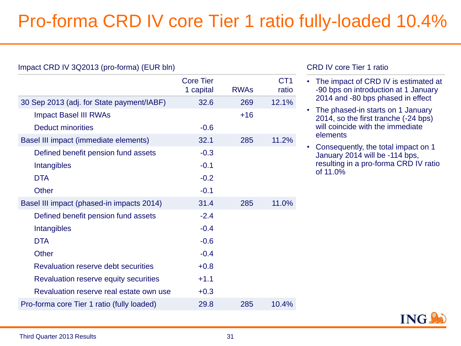## Pro-forma CRD IV core Tier 1 ratio fully-loaded 10.4%

#### Impact CRD IV 3Q2013 (pro-forma) (EUR bln) Core Tier 1 capital RWAs C<sub>T</sub>1 ratio 30 Sep 2013 (adj. for State payment/IABF) 32.6 269 12.1% Impact Basel III RWAs  $+16$ Deduct minorities and the set of the set of the set of the set of the set of the set of the set of the set of the set of the set of the set of the set of the set of the set of the set of the set of the set of the set of th Basel III impact (immediate elements) 32.1 285 11.2% Defined benefit pension fund assets -0.3 Intangibles -0.1 DTA -0.2 Other -0.1 Basel III impact (phased-in impacts 2014) 31.4 285 11.0% Defined benefit pension fund assets -2.4 Intangibles -0.4 DTA -0.6 Other -0.4 Revaluation reserve debt securities +0.8 Revaluation reserve equity securities  $+1.1$ Revaluation reserve real estate own use  $+0.3$ Pro-forma core Tier 1 ratio (fully loaded) 29.8 285 10.4%

#### CRD IV core Tier 1 ratio

- The impact of CRD IV is estimated at -90 bps on introduction at 1 January 2014 and -80 bps phased in effect
- The phased-in starts on 1 January 2014, so the first tranche (-24 bps) will coincide with the immediate elements
- Consequently, the total impact on 1 January 2014 will be -114 bps, resulting in a pro-forma CRD IV ratio of 11.0%

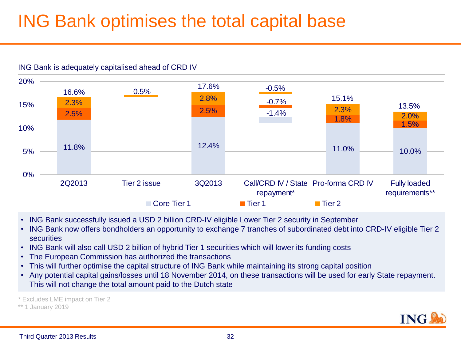### ING Bank optimises the total capital base



#### ING Bank is adequately capitalised ahead of CRD IV

- ING Bank successfully issued a USD 2 billion CRD-IV eligible Lower Tier 2 security in September
- ING Bank now offers bondholders an opportunity to exchange 7 tranches of subordinated debt into CRD-IV eligible Tier 2 **securities**
- ING Bank will also call USD 2 billion of hybrid Tier 1 securities which will lower its funding costs
- The European Commission has authorized the transactions
- This will further optimise the capital structure of ING Bank while maintaining its strong capital position
- Any potential capital gains/losses until 18 November 2014, on these transactions will be used for early State repayment. This will not change the total amount paid to the Dutch state

\* Excludes LME impact on Tier 2

\*\* 1 January 2019

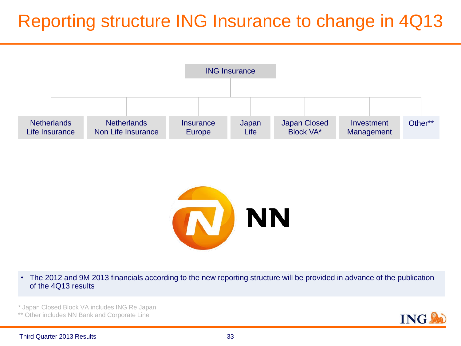### Reporting structure ING Insurance to change in 4Q13





• The 2012 and 9M 2013 financials according to the new reporting structure will be provided in advance of the publication of the 4Q13 results

\* Japan Closed Block VA includes ING Re Japan

\*\* Other includes NN Bank and Corporate Line